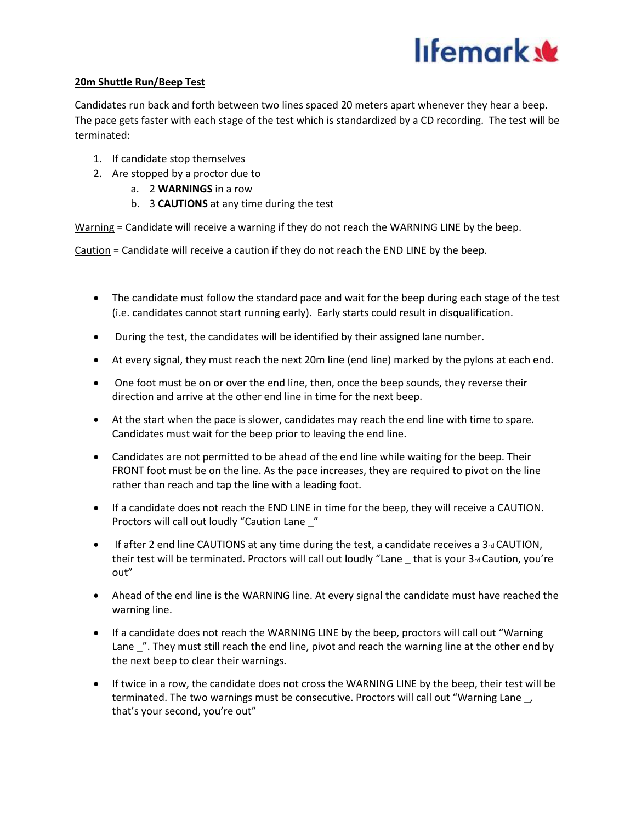

## **20m Shuttle Run/Beep Test**

Candidates run back and forth between two lines spaced 20 meters apart whenever they hear a beep. The pace gets faster with each stage of the test which is standardized by a CD recording. The test will be terminated:

- 1. If candidate stop themselves
- 2. Are stopped by a proctor due to
	- a. 2 **WARNINGS** in a row
	- b. 3 **CAUTIONS** at any time during the test

Warning = Candidate will receive a warning if they do not reach the WARNING LINE by the beep.

Caution = Candidate will receive a caution if they do not reach the END LINE by the beep.

- The candidate must follow the standard pace and wait for the beep during each stage of the test (i.e. candidates cannot start running early). Early starts could result in disqualification.
- During the test, the candidates will be identified by their assigned lane number.
- At every signal, they must reach the next 20m line (end line) marked by the pylons at each end.
- One foot must be on or over the end line, then, once the beep sounds, they reverse their direction and arrive at the other end line in time for the next beep.
- At the start when the pace is slower, candidates may reach the end line with time to spare. Candidates must wait for the beep prior to leaving the end line.
- Candidates are not permitted to be ahead of the end line while waiting for the beep. Their FRONT foot must be on the line. As the pace increases, they are required to pivot on the line rather than reach and tap the line with a leading foot.
- If a candidate does not reach the END LINE in time for the beep, they will receive a CAUTION. Proctors will call out loudly "Caution Lane \_"
- $\bullet$  If after 2 end line CAUTIONS at any time during the test, a candidate receives a 3rd CAUTION, their test will be terminated. Proctors will call out loudly "Lane \_ that is your 3rd Caution, you're out"
- Ahead of the end line is the WARNING line. At every signal the candidate must have reached the warning line.
- If a candidate does not reach the WARNING LINE by the beep, proctors will call out "Warning Lane ". They must still reach the end line, pivot and reach the warning line at the other end by the next beep to clear their warnings.
- If twice in a row, the candidate does not cross the WARNING LINE by the beep, their test will be terminated. The two warnings must be consecutive. Proctors will call out "Warning Lane \_, that's your second, you're out"